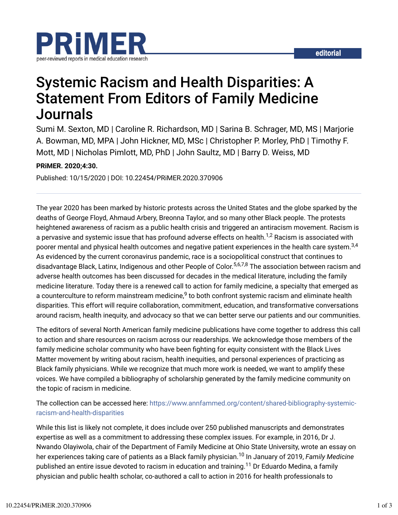

# Systemic Racism and Health Disparities: A Statement From Editors of Family Medicine Journals

Sumi M. Sexton, MD | Caroline R. Richardson, MD | Sarina B. Schrager, MD, MS | Marjorie A. Bowman, MD, MPA | John Hickner, MD, MSc | Christopher P. Morley, PhD | Timothy F. Mott, MD | Nicholas Pimlott, MD, PhD | John Saultz, MD | Barry D. Weiss, MD

#### **PRiMER. 2020;4:30.**

Published: 10/15/2020 | DOI: 10.22454/PRiMER.2020.370906

The year 2020 has been marked by historic protests across the United States and the globe sparked by the deaths of George Floyd, Ahmaud Arbery, Breonna Taylor, and so many other Black people. The protests heightened awareness of racism as a public health crisis and triggered an antiracism movement. Racism is a pervasive and systemic issue that has profound adverse effects on health. $^{1,2}$  Racism is associated with poorer mental and physical health outcomes and negative patient experiences in the health care system. $^{3,4}$ As evidenced by the current coronavirus pandemic, race is a sociopolitical construct that continues to disadvantage Black, Latinx, Indigenous and other People of Color.<sup>5,6,7,8</sup> The association between racism and adverse health outcomes has been discussed for decades in the medical literature, including the family medicine literature. Today there is a renewed call to action for family medicine, a specialty that emerged as a counterculture to reform mainstream medicine, $^9$  to both confront systemic racism and eliminate health disparities. This effort will require collaboration, commitment, education, and transformative conversations around racism, health inequity, and advocacy so that we can better serve our patients and our communities.

The editors of several North American family medicine publications have come together to address this call to action and share resources on racism across our readerships. We acknowledge those members of the family medicine scholar community who have been fighting for equity consistent with the Black Lives Matter movement by writing about racism, health inequities, and personal experiences of practicing as Black family physicians. While we recognize that much more work is needed, we want to amplify these voices. We have compiled a bibliography of scholarship generated by the family medicine community on the topic of racism in medicine.

#### The collection can be accessed here: https://www.annfammed.org/content/shared-bibliography-systemicracism-and-health-disparities

While this list is likely not complete, it does include over 250 published manuscripts and demonstrates expertise as well as a commitment to addressing these complex issues. For example, in 2016, Dr J. Nwando Olayiwola, chair of the Department of Family Medicine at Ohio State University, wrote an essay on her experiences taking care of patients as a Black family physician.<sup>10</sup> In January of 2019, *Family Medicine* published an entire issue devoted to racism in education and training.<sup>11</sup> Dr Eduardo Medina, a family physician and public health scholar, co-authored a call to action in 2016 for health professionals to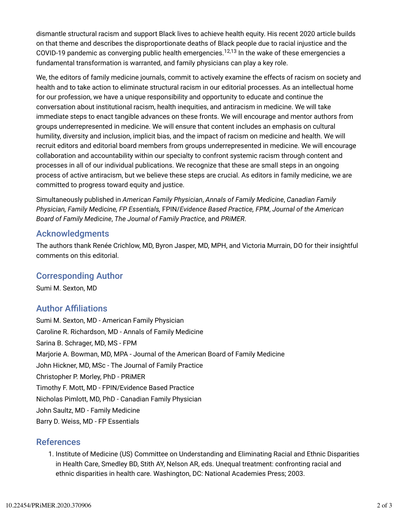dismantle structural racism and support Black lives to achieve health equity. His recent 2020 article builds on that theme and describes the disproportionate deaths of Black people due to racial injustice and the COVID-19 pandemic as converging public health emergencies.<sup>12,13</sup> In the wake of these emergencies a fundamental transformation is warranted, and family physicians can play a key role.

We, the editors of family medicine journals, commit to actively examine the effects of racism on society and health and to take action to eliminate structural racism in our editorial processes. As an intellectual home for our profession, we have a unique responsibility and opportunity to educate and continue the conversation about institutional racism, health inequities, and antiracism in medicine. We will take immediate steps to enact tangible advances on these fronts. We will encourage and mentor authors from groups underrepresented in medicine. We will ensure that content includes an emphasis on cultural humility, diversity and inclusion, implicit bias, and the impact of racism on medicine and health. We will recruit editors and editorial board members from groups underrepresented in medicine. We will encourage collaboration and accountability within our specialty to confront systemic racism through content and processes in all of our individual publications. We recognize that these are small steps in an ongoing process of active antiracism, but we believe these steps are crucial. As editors in family medicine, we are committed to progress toward equity and justice.

Simultaneously published in *American Family Physician*, *Annals of Family Medicine*, *Canadian Family Physician, Family Medicine, FP Essentials,* FPIN/*Evidence Based Practice, FPM*, *Journal of the American Board of Family Medicine*, *The Journal of Family Practice*, and *PRiMER*.

### Acknowledgments

The authors thank Renée Crichlow, MD, Byron Jasper, MD, MPH, and Victoria Murrain, DO for their insightful comments on this editorial.

## Corresponding Author

Sumi M. Sexton, MD

# **Author Affiliations**

Sumi M. Sexton, MD - American Family Physician Caroline R. Richardson, MD - Annals of Family Medicine Sarina B. Schrager, MD, MS - FPM Marjorie A. Bowman, MD, MPA - Journal of the American Board of Family Medicine John Hickner, MD, MSc - The Journal of Family Practice Christopher P. Morley, PhD - PRiMER Timothy F. Mott, MD - FPIN/Evidence Based Practice Nicholas Pimlott, MD, PhD - Canadian Family Physician John Saultz, MD - Family Medicine Barry D. Weiss, MD - FP Essentials

#### References

1. Institute of Medicine (US) Committee on Understanding and Eliminating Racial and Ethnic Disparities in Health Care, Smedley BD, Stith AY, Nelson AR, eds. Unequal treatment: confronting racial and ethnic disparities in health care. Washington, DC: National Academies Press; 2003.